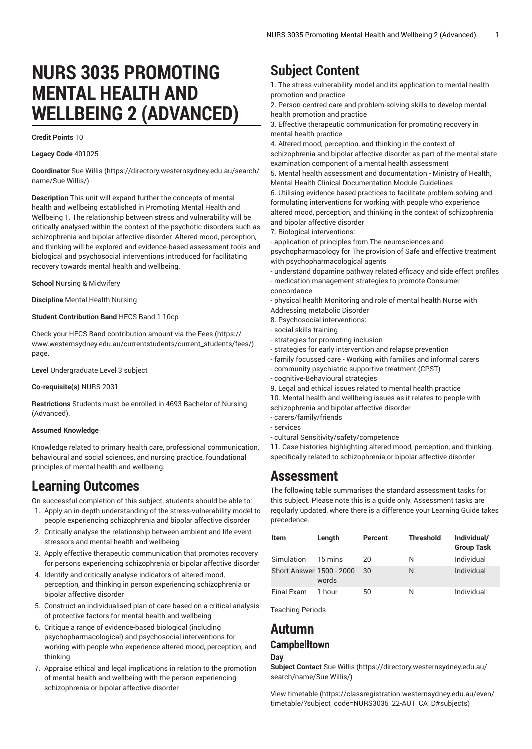# **NURS 3035 PROMOTING MENTAL HEALTH AND WELLBEING 2 (ADVANCED)**

#### **Credit Points** 10

### **Legacy Code** 401025

**Coordinator** [Sue Willis](https://directory.westernsydney.edu.au/search/name/Sue Willis/) [\(https://directory.westernsydney.edu.au/search/](https://directory.westernsydney.edu.au/search/name/Sue Willis/) [name/Sue Willis/\)](https://directory.westernsydney.edu.au/search/name/Sue Willis/)

**Description** This unit will expand further the concepts of mental health and wellbeing established in Promoting Mental Health and Wellbeing 1. The relationship between stress and vulnerability will be critically analysed within the context of the psychotic disorders such as schizophrenia and bipolar affective disorder. Altered mood, perception, and thinking will be explored and evidence-based assessment tools and biological and psychosocial interventions introduced for facilitating recovery towards mental health and wellbeing.

**School** Nursing & Midwifery

**Discipline** Mental Health Nursing

#### **Student Contribution Band** HECS Band 1 10cp

Check your HECS Band contribution amount via the [Fees \(https://](https://www.westernsydney.edu.au/currentstudents/current_students/fees/) [www.westernsydney.edu.au/currentstudents/current\\_students/fees/\)](https://www.westernsydney.edu.au/currentstudents/current_students/fees/) page.

**Level** Undergraduate Level 3 subject

#### **Co-requisite(s)** [NURS 2031](/search/?P=NURS%202031)

**Restrictions** Students must be enrolled in 4693 Bachelor of Nursing (Advanced).

#### **Assumed Knowledge**

Knowledge related to primary health care, professional communication, behavioural and social sciences, and nursing practice, foundational principles of mental health and wellbeing.

# **Learning Outcomes**

On successful completion of this subject, students should be able to:

1. Apply an in-depth understanding of the stress-vulnerability model to people experiencing schizophrenia and bipolar affective disorder

- 2. Critically analyse the relationship between ambient and life event stressors and mental health and wellbeing
- 3. Apply effective therapeutic communication that promotes recovery for persons experiencing schizophrenia or bipolar affective disorder
- 4. Identify and critically analyse indicators of altered mood, perception, and thinking in person experiencing schizophrenia or bipolar affective disorder
- 5. Construct an individualised plan of care based on a critical analysis of protective factors for mental health and wellbeing
- 6. Critique a range of evidence-based biological (including psychopharmacological) and psychosocial interventions for working with people who experience altered mood, perception, and thinking
- 7. Appraise ethical and legal implications in relation to the promotion of mental health and wellbeing with the person experiencing schizophrenia or bipolar affective disorder

# **Subject Content**

1. The stress-vulnerability model and its application to mental health promotion and practice

2. Person-centred care and problem-solving skills to develop mental health promotion and practice

3. Effective therapeutic communication for promoting recovery in mental health practice

4. Altered mood, perception, and thinking in the context of

schizophrenia and bipolar affective disorder as part of the mental state examination component of a mental health assessment

5. Mental health assessment and documentation - Ministry of Health, Mental Health Clinical Documentation Module Guidelines

6. Utilising evidence based practices to facilitate problem-solving and formulating interventions for working with people who experience altered mood, perception, and thinking in the context of schizophrenia and bipolar affective disorder

7. Biological interventions:

- application of principles from The neurosciences and psychopharmacology for The provision of Safe and effective treatment with psychopharmacological agents

- understand dopamine pathway related efficacy and side effect profiles - medication management strategies to promote Consumer

concordance

- physical health Monitoring and role of mental health Nurse with Addressing metabolic Disorder

8. Psychosocial interventions:

- social skills training
- strategies for promoting inclusion
- strategies for early intervention and relapse prevention
- family focussed care Working with families and informal carers
- community psychiatric supportive treatment (CPST)
- cognitive-Behavioural strategies

9. Legal and ethical issues related to mental health practice

10. Mental health and wellbeing issues as it relates to people with schizophrenia and bipolar affective disorder

- carers/family/friends
- services
- cultural Sensitivity/safety/competence

11. Case histories highlighting altered mood, perception, and thinking, specifically related to schizophrenia or bipolar affective disorder

# **Assessment**

The following table summarises the standard assessment tasks for this subject. Please note this is a guide only. Assessment tasks are regularly updated, where there is a difference your Learning Guide takes precedence.

| <b>Item</b>              | Length  | Percent | <b>Threshold</b> | Individual/<br><b>Group Task</b> |
|--------------------------|---------|---------|------------------|----------------------------------|
| Simulation               | 15 mins | 20      | Ν                | Individual                       |
| Short Answer 1500 - 2000 | words   | 30      | N                | Individual                       |
| Final Exam               | 1 hour  | 50      | N                | Individual                       |

Teaching Periods

# **Autumn Campbelltown**

### **Day**

**Subject Contact** [Sue Willis \(https://directory.westernsydney.edu.au/](https://directory.westernsydney.edu.au/search/name/Sue Willis/) [search/name/Sue](https://directory.westernsydney.edu.au/search/name/Sue Willis/) Willis/)

[View timetable](https://classregistration.westernsydney.edu.au/even/timetable/?subject_code=NURS3035_22-AUT_CA_D#subjects) [\(https://classregistration.westernsydney.edu.au/even/](https://classregistration.westernsydney.edu.au/even/timetable/?subject_code=NURS3035_22-AUT_CA_D#subjects) [timetable/?subject\\_code=NURS3035\\_22-AUT\\_CA\\_D#subjects](https://classregistration.westernsydney.edu.au/even/timetable/?subject_code=NURS3035_22-AUT_CA_D#subjects))